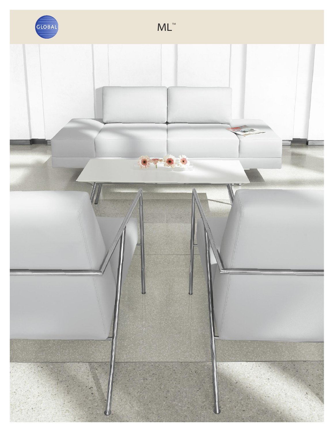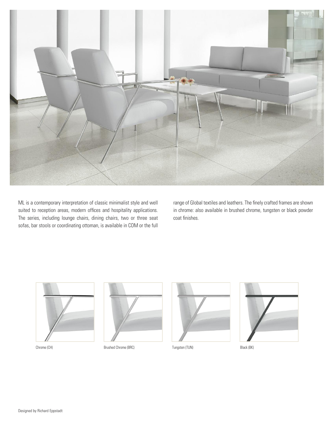

ML is a contemporary interpretation of classic minimalist style and well suited to reception areas, modern offices and hospitality applications. The series, including lounge chairs, dining chairs, two or three seat sofas, bar stools or coordinating ottoman, is available in COM or the full

range of Global textiles and leathers. The finely crafted frames are shown in chrome: also available in brushed chrome, tungsten or black powder coat finishes.





Chrome (CH) Brushed Chrome (BRC) Tungsten (TUN) Black (BK) Black (BK)